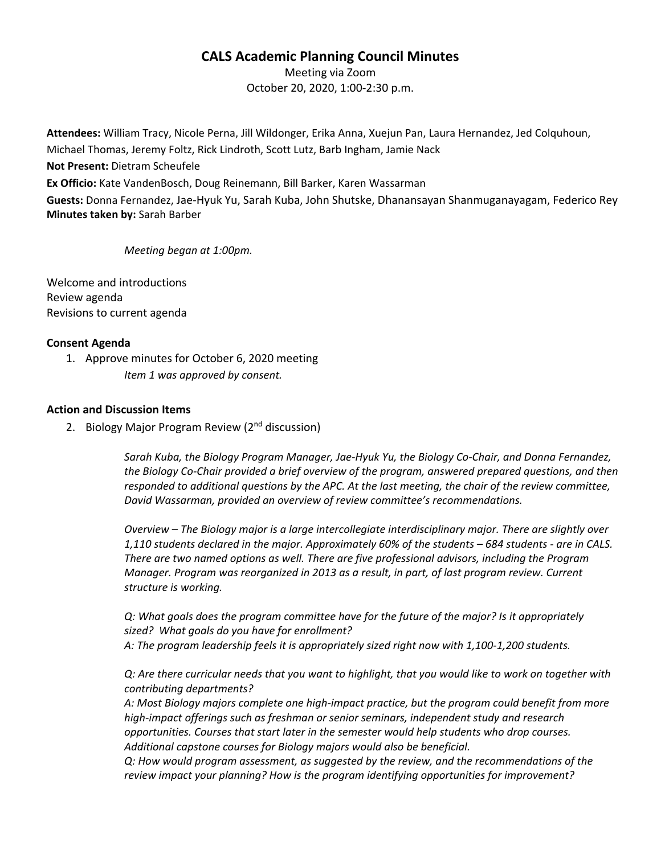## **CALS Academic Planning Council Minutes**

Meeting via Zoom October 20, 2020, 1:00-2:30 p.m.

**Attendees:** William Tracy, Nicole Perna, Jill Wildonger, Erika Anna, Xuejun Pan, Laura Hernandez, Jed Colquhoun, Michael Thomas, Jeremy Foltz, Rick Lindroth, Scott Lutz, Barb Ingham, Jamie Nack **Not Present:** Dietram Scheufele **Ex Officio:** Kate VandenBosch, Doug Reinemann, Bill Barker, Karen Wassarman **Guests:** Donna Fernandez, Jae-Hyuk Yu, Sarah Kuba, John Shutske, Dhanansayan Shanmuganayagam, Federico Rey **Minutes taken by:** Sarah Barber

*Meeting began at 1:00pm.*

Welcome and introductions Review agenda Revisions to current agenda

## **Consent Agenda**

1. Approve minutes for October 6, 2020 meeting *Item 1 was approved by consent.*

## **Action and Discussion Items**

2. Biology Major Program Review (2<sup>nd</sup> discussion)

*Sarah Kuba, the Biology Program Manager, Jae-Hyuk Yu, the Biology Co-Chair, and Donna Fernandez, the Biology Co-Chair provided a brief overview of the program, answered prepared questions, and then responded to additional questions by the APC. At the last meeting, the chair of the review committee, David Wassarman, provided an overview of review committee's recommendations.*

*Overview – The Biology major is a large intercollegiate interdisciplinary major. There are slightly over 1,110 students declared in the major. Approximately 60% of the students – 684 students - are in CALS. There are two named options as well. There are five professional advisors, including the Program Manager. Program was reorganized in 2013 as a result, in part, of last program review. Current structure is working.* 

*Q: What goals does the program committee have for the future of the major? Is it appropriately sized? What goals do you have for enrollment? A: The program leadership feels it is appropriately sized right now with 1,100-1,200 students.* 

*Q: Are there curricular needs that you want to highlight, that you would like to work on together with contributing departments?*

*A: Most Biology majors complete one high-impact practice, but the program could benefit from more high-impact offerings such as freshman or senior seminars, independent study and research opportunities. Courses that start later in the semester would help students who drop courses. Additional capstone courses for Biology majors would also be beneficial.* 

*Q: How would program assessment, as suggested by the review, and the recommendations of the review impact your planning? How is the program identifying opportunities for improvement?*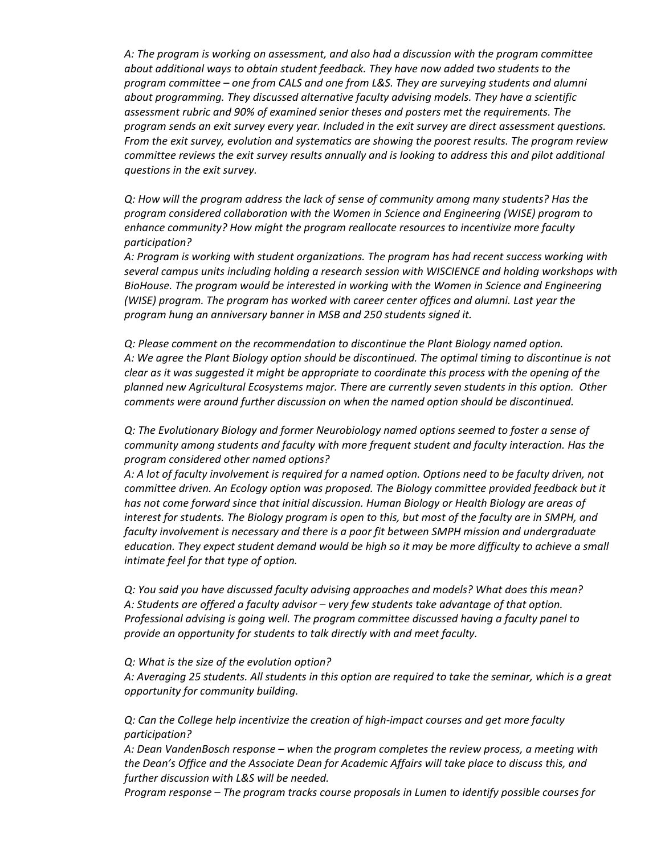*A: The program is working on assessment, and also had a discussion with the program committee about additional ways to obtain student feedback. They have now added two students to the program committee – one from CALS and one from L&S. They are surveying students and alumni about programming. They discussed alternative faculty advising models. They have a scientific assessment rubric and 90% of examined senior theses and posters met the requirements. The program sends an exit survey every year. Included in the exit survey are direct assessment questions. From the exit survey, evolution and systematics are showing the poorest results. The program review committee reviews the exit survey results annually and is looking to address this and pilot additional questions in the exit survey.*

*Q: How will the program address the lack of sense of community among many students? Has the program considered collaboration with the Women in Science and Engineering (WISE) program to enhance community? How might the program reallocate resources to incentivize more faculty participation?*

*A: Program is working with student organizations. The program has had recent success working with several campus units including holding a research session with WISCIENCE and holding workshops with BioHouse. The program would be interested in working with the Women in Science and Engineering (WISE) program. The program has worked with career center offices and alumni. Last year the program hung an anniversary banner in MSB and 250 students signed it.* 

*Q: Please comment on the recommendation to discontinue the Plant Biology named option. A: We agree the Plant Biology option should be discontinued. The optimal timing to discontinue is not clear as it was suggested it might be appropriate to coordinate this process with the opening of the planned new Agricultural Ecosystems major. There are currently seven students in this option. Other comments were around further discussion on when the named option should be discontinued.*

*Q: The Evolutionary Biology and former Neurobiology named options seemed to foster a sense of community among students and faculty with more frequent student and faculty interaction. Has the program considered other named options?*

*A: A lot of faculty involvement is required for a named option. Options need to be faculty driven, not committee driven. An Ecology option was proposed. The Biology committee provided feedback but it has not come forward since that initial discussion. Human Biology or Health Biology are areas of interest for students. The Biology program is open to this, but most of the faculty are in SMPH, and faculty involvement is necessary and there is a poor fit between SMPH mission and undergraduate education. They expect student demand would be high so it may be more difficulty to achieve a small intimate feel for that type of option.*

*Q: You said you have discussed faculty advising approaches and models? What does this mean? A: Students are offered a faculty advisor – very few students take advantage of that option. Professional advising is going well. The program committee discussed having a faculty panel to provide an opportunity for students to talk directly with and meet faculty.*

*Q: What is the size of the evolution option?* 

*A: Averaging 25 students. All students in this option are required to take the seminar, which is a great opportunity for community building.*

*Q: Can the College help incentivize the creation of high-impact courses and get more faculty participation?* 

*A: Dean VandenBosch response – when the program completes the review process, a meeting with the Dean's Office and the Associate Dean for Academic Affairs will take place to discuss this, and further discussion with L&S will be needed.*

*Program response – The program tracks course proposals in Lumen to identify possible courses for*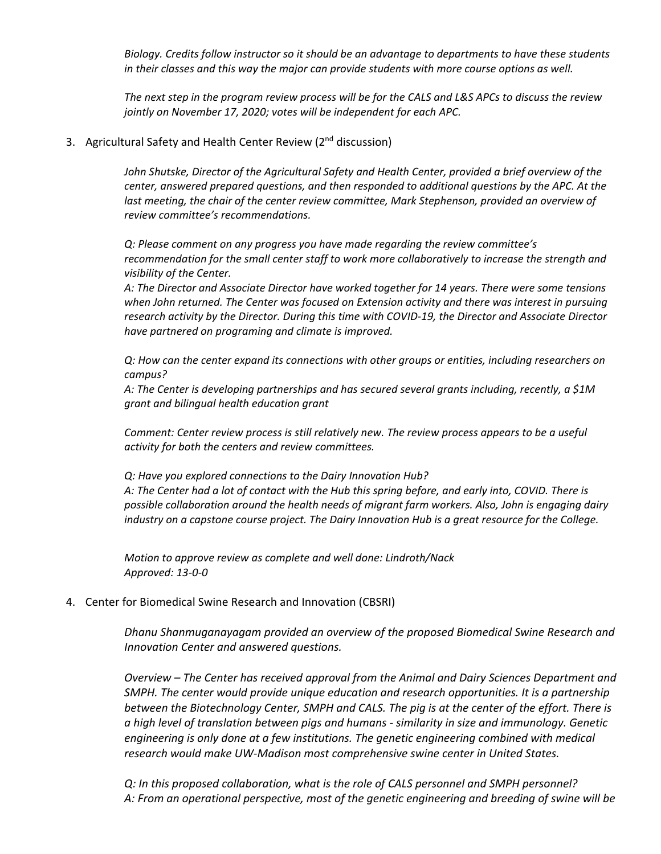*Biology. Credits follow instructor so it should be an advantage to departments to have these students in their classes and this way the major can provide students with more course options as well.* 

*The next step in the program review process will be for the CALS and L&S APCs to discuss the review jointly on November 17, 2020; votes will be independent for each APC.*

3. Agricultural Safety and Health Center Review (2<sup>nd</sup> discussion)

*John Shutske, Director of the Agricultural Safety and Health Center, provided a brief overview of the center, answered prepared questions, and then responded to additional questions by the APC. At the*  last meeting, the chair of the center review committee, Mark Stephenson, provided an overview of *review committee's recommendations.*

*Q: Please comment on any progress you have made regarding the review committee's recommendation for the small center staff to work more collaboratively to increase the strength and visibility of the Center.*

*A: The Director and Associate Director have worked together for 14 years. There were some tensions when John returned. The Center was focused on Extension activity and there was interest in pursuing research activity by the Director. During this time with COVID-19, the Director and Associate Director have partnered on programing and climate is improved.*

*Q: How can the center expand its connections with other groups or entities, including researchers on campus?*

*A: The Center is developing partnerships and has secured several grants including, recently, a \$1M grant and bilingual health education grant*

*Comment: Center review process is still relatively new. The review process appears to be a useful activity for both the centers and review committees.*

*Q: Have you explored connections to the Dairy Innovation Hub? A: The Center had a lot of contact with the Hub this spring before, and early into, COVID. There is possible collaboration around the health needs of migrant farm workers. Also, John is engaging dairy industry on a capstone course project. The Dairy Innovation Hub is a great resource for the College.*

*Motion to approve review as complete and well done: Lindroth/Nack Approved: 13-0-0*

## 4. Center for Biomedical Swine Research and Innovation (CBSRI)

*Dhanu Shanmuganayagam provided an overview of the proposed Biomedical Swine Research and Innovation Center and answered questions.* 

*Overview – The Center has received approval from the Animal and Dairy Sciences Department and SMPH. The center would provide unique education and research opportunities. It is a partnership between the Biotechnology Center, SMPH and CALS. The pig is at the center of the effort. There is a high level of translation between pigs and humans - similarity in size and immunology. Genetic engineering is only done at a few institutions. The genetic engineering combined with medical research would make UW-Madison most comprehensive swine center in United States.*

*Q: In this proposed collaboration, what is the role of CALS personnel and SMPH personnel? A: From an operational perspective, most of the genetic engineering and breeding of swine will be*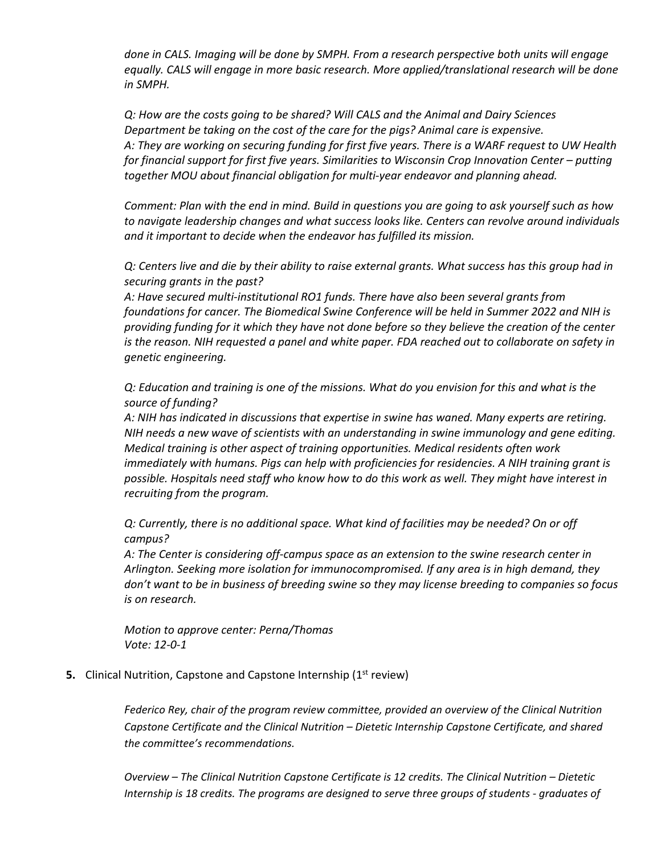*done in CALS. Imaging will be done by SMPH. From a research perspective both units will engage equally. CALS will engage in more basic research. More applied/translational research will be done in SMPH.*

*Q: How are the costs going to be shared? Will CALS and the Animal and Dairy Sciences Department be taking on the cost of the care for the pigs? Animal care is expensive. A: They are working on securing funding for first five years. There is a WARF request to UW Health for financial support for first five years. Similarities to Wisconsin Crop Innovation Center – putting together MOU about financial obligation for multi-year endeavor and planning ahead.* 

*Comment: Plan with the end in mind. Build in questions you are going to ask yourself such as how to navigate leadership changes and what success looks like. Centers can revolve around individuals and it important to decide when the endeavor has fulfilled its mission.* 

*Q: Centers live and die by their ability to raise external grants. What success has this group had in securing grants in the past?*

*A: Have secured multi-institutional RO1 funds. There have also been several grants from foundations for cancer. The Biomedical Swine Conference will be held in Summer 2022 and NIH is providing funding for it which they have not done before so they believe the creation of the center is the reason. NIH requested a panel and white paper. FDA reached out to collaborate on safety in genetic engineering.* 

*Q: Education and training is one of the missions. What do you envision for this and what is the source of funding?* 

*A: NIH has indicated in discussions that expertise in swine has waned. Many experts are retiring. NIH needs a new wave of scientists with an understanding in swine immunology and gene editing. Medical training is other aspect of training opportunities. Medical residents often work immediately with humans. Pigs can help with proficiencies for residencies. A NIH training grant is possible. Hospitals need staff who know how to do this work as well. They might have interest in recruiting from the program.* 

*Q: Currently, there is no additional space. What kind of facilities may be needed? On or off campus?*

*A: The Center is considering off-campus space as an extension to the swine research center in Arlington. Seeking more isolation for immunocompromised. If any area is in high demand, they don't want to be in business of breeding swine so they may license breeding to companies so focus is on research.* 

*Motion to approve center: Perna/Thomas Vote: 12-0-1*

**5.** Clinical Nutrition, Capstone and Capstone Internship (1<sup>st</sup> review)

*Federico Rey, chair of the program review committee, provided an overview of the Clinical Nutrition Capstone Certificate and the Clinical Nutrition – Dietetic Internship Capstone Certificate, and shared the committee's recommendations.* 

*Overview – The Clinical Nutrition Capstone Certificate is 12 credits. The Clinical Nutrition – Dietetic Internship is 18 credits. The programs are designed to serve three groups of students - graduates of*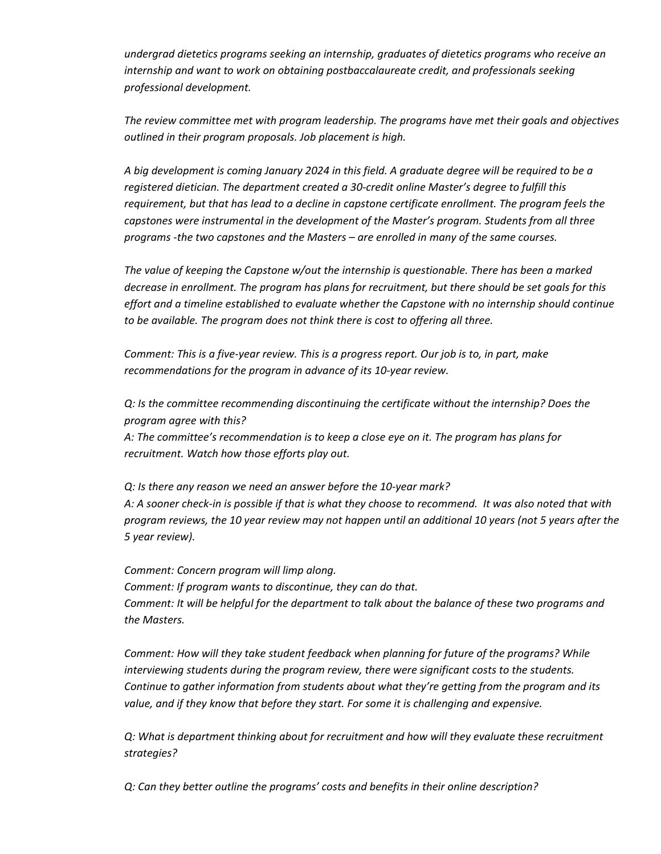*undergrad dietetics programs seeking an internship, graduates of dietetics programs who receive an internship and want to work on obtaining postbaccalaureate credit, and professionals seeking professional development.* 

*The review committee met with program leadership. The programs have met their goals and objectives outlined in their program proposals. Job placement is high.* 

*A big development is coming January 2024 in this field. A graduate degree will be required to be a registered dietician. The department created a 30-credit online Master's degree to fulfill this requirement, but that has lead to a decline in capstone certificate enrollment. The program feels the capstones were instrumental in the development of the Master's program. Students from all three programs -the two capstones and the Masters – are enrolled in many of the same courses.* 

*The value of keeping the Capstone w/out the internship is questionable. There has been a marked decrease in enrollment. The program has plans for recruitment, but there should be set goals for this effort and a timeline established to evaluate whether the Capstone with no internship should continue to be available. The program does not think there is cost to offering all three.* 

*Comment: This is a five-year review. This is a progress report. Our job is to, in part, make recommendations for the program in advance of its 10-year review.* 

*Q: Is the committee recommending discontinuing the certificate without the internship? Does the program agree with this? A: The committee's recommendation is to keep a close eye on it. The program has plans for recruitment. Watch how those efforts play out.* 

*Q: Is there any reason we need an answer before the 10-year mark? A: A sooner check-in is possible if that is what they choose to recommend. It was also noted that with program reviews, the 10 year review may not happen until an additional 10 years (not 5 years after the 5 year review).* 

*Comment: Concern program will limp along. Comment: If program wants to discontinue, they can do that. Comment: It will be helpful for the department to talk about the balance of these two programs and the Masters.*

*Comment: How will they take student feedback when planning for future of the programs? While interviewing students during the program review, there were significant costs to the students. Continue to gather information from students about what they're getting from the program and its value, and if they know that before they start. For some it is challenging and expensive.*

*Q: What is department thinking about for recruitment and how will they evaluate these recruitment strategies?*

*Q: Can they better outline the programs' costs and benefits in their online description?*